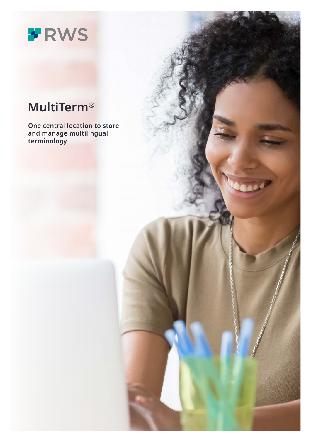# \* RWS

# **MultiTerm®**

**One central location to store and manage multilingual terminology**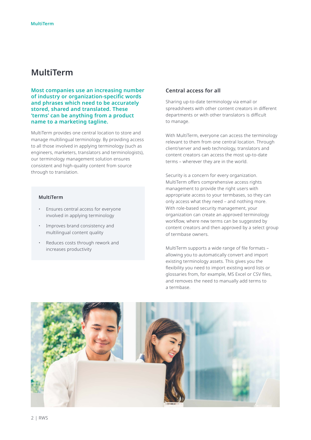## **MultiTerm**

**Most companies use an increasing number of industry or organization-specific words and phrases which need to be accurately stored, shared and translated. These 'terms' can be anything from a product name to a marketing tagline.**

MultiTerm provides one central location to store and manage multilingual terminology. By providing access to all those involved in applying terminology (such as engineers, marketers, translators and terminologists), our terminology management solution ensures consistent and high-quality content from source through to translation.

#### **MultiTerm**

- Ensures central access for everyone involved in applying terminology
- Improves brand consistency and multilingual content quality
- Reduces costs through rework and increases productivity

#### **Central access for all**

Sharing up-to-date terminology via email or spreadsheets with other content creators in different departments or with other translators is difficult to manage.

With MultiTerm, everyone can access the terminology relevant to them from one central location. Through client/server and web technology, translators and content creators can access the most up-to-date terms – wherever they are in the world.

Security is a concern for every organization. MultiTerm offers comprehensive access rights management to provide the right users with appropriate access to your termbases, so they can only access what they need – and nothing more. With role-based security management, your organization can create an approved terminology workflow, where new terms can be suggested by content creators and then approved by a select group of termbase owners.

MultiTerm supports a wide range of file formats – allowing you to automatically convert and import existing terminology assets. This gives you the flexibility you need to import existing word lists or glossaries from, for example, MS Excel or CSV files, and removes the need to manually add terms to a termbase.

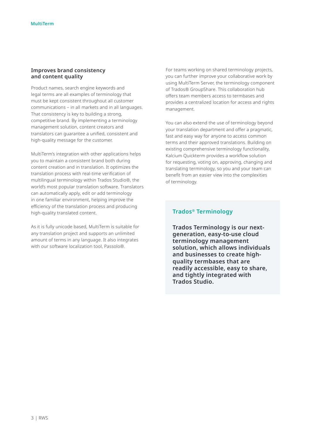#### **Improves brand consistency and content quality**

Product names, search engine keywords and legal terms are all examples of terminology that must be kept consistent throughout all customer communications – in all markets and in all languages. That consistency is key to building a strong, competitive brand. By implementing a terminology management solution, content creators and translators can guarantee a unified, consistent and high-quality message for the customer.

MultiTerm's integration with other applications helps you to maintain a consistent brand both during content creation and in translation. It optimizes the translation process with real-time verification of multilingual terminology within Trados Studio®, the world's most popular translation software. Translators can automatically apply, edit or add terminology in one familiar environment, helping improve the efficiency of the translation process and producing high-quality translated content.

As it is fully unicode based, MultiTerm is suitable for any translation project and supports an unlimited amount of terms in any language. It also integrates with our software localization tool, Passolo®.

For teams working on shared terminology projects, you can further improve your collaborative work by using MultiTerm Server, the terminology component of Trados® GroupShare. This collaboration hub offers team members access to termbases and provides a centralized location for access and rights management.

You can also extend the use of terminology beyond your translation department and offer a pragmatic, fast and easy way for anyone to access common terms and their approved translations. Building on existing comprehensive terminology functionality, Kalcium Quickterm provides a workflow solution for requesting, voting on, approving, changing and translating terminology, so you and your team can benefit from an easier view into the complexities of terminology.

#### **Trados® Terminology**

**Trados Terminology is our nextgeneration, easy-to-use cloud terminology management solution, which allows individuals and businesses to create highquality termbases that are readily accessible, easy to share, and tightly integrated with Trados Studio.**